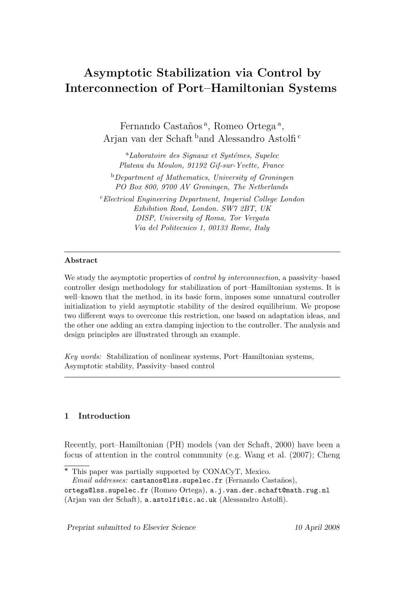# Asymptotic Stabilization via Control by Interconnection of Port–Hamiltonian Systems

Fernando Castaños<sup>a</sup>, Romeo Ortega<sup>a</sup>, Arjan van der Schaft <sup>b</sup>and Alessandro Astolfi <sup>c</sup>

 $a<sup>a</sup>$ *Laboratoire des Signaux et Systémes, Supelec* Plateau du Moulon, 91192 Gif-sur-Yvette, France

 $b$ Department of Mathematics, University of Groningen PO Box 800, 9700 AV Groningen, The Netherlands

<sup>c</sup>Electrical Engineering Department, Imperial College London Exhibition Road, London. SW7 2BT, UK DISP, University of Roma, Tor Vergata Via del Politecnico 1, 00133 Rome, Italy

# Abstract

We study the asymptotic properties of *control by interconnection*, a passivity–based controller design methodology for stabilization of port–Hamiltonian systems. It is well–known that the method, in its basic form, imposes some unnatural controller initialization to yield asymptotic stability of the desired equilibrium. We propose two different ways to overcome this restriction, one based on adaptation ideas, and the other one adding an extra damping injection to the controller. The analysis and design principles are illustrated through an example.

Key words: Stabilization of nonlinear systems, Port–Hamiltonian systems, Asymptotic stability, Passivity–based control

# 1 Introduction

Recently, port–Hamiltonian (PH) models (van der Schaft, 2000) have been a focus of attention in the control community (e.g. Wang et al. (2007); Cheng

Email addresses: castanos@lss.supelec.fr (Fernando Castaños),

Preprint submitted to Elsevier Science 10 April 2008

 $\star$  This paper was partially supported by CONACyT, Mexico.

ortega@lss.supelec.fr (Romeo Ortega), a.j.van.der.schaft@math.rug.nl (Arjan van der Schaft), a.astolfi@ic.ac.uk (Alessandro Astolfi).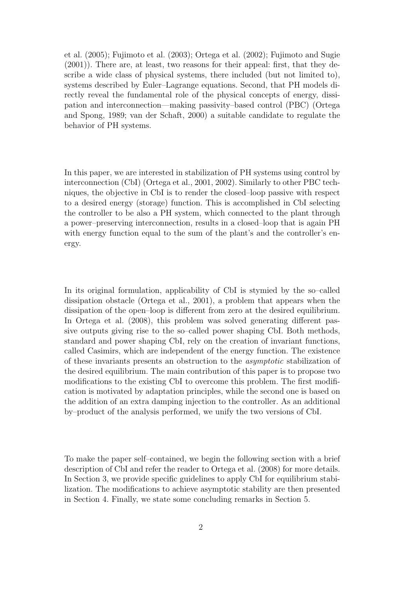et al. (2005); Fujimoto et al. (2003); Ortega et al. (2002); Fujimoto and Sugie (2001)). There are, at least, two reasons for their appeal: first, that they describe a wide class of physical systems, there included (but not limited to), systems described by Euler–Lagrange equations. Second, that PH models directly reveal the fundamental role of the physical concepts of energy, dissipation and interconnection—making passivity–based control (PBC) (Ortega and Spong, 1989; van der Schaft, 2000) a suitable candidate to regulate the behavior of PH systems.

In this paper, we are interested in stabilization of PH systems using control by interconnection (CbI) (Ortega et al., 2001, 2002). Similarly to other PBC techniques, the objective in CbI is to render the closed–loop passive with respect to a desired energy (storage) function. This is accomplished in CbI selecting the controller to be also a PH system, which connected to the plant through a power–preserving interconnection, results in a closed–loop that is again PH with energy function equal to the sum of the plant's and the controller's energy.

In its original formulation, applicability of CbI is stymied by the so–called dissipation obstacle (Ortega et al., 2001), a problem that appears when the dissipation of the open–loop is different from zero at the desired equilibrium. In Ortega et al. (2008), this problem was solved generating different passive outputs giving rise to the so–called power shaping CbI. Both methods, standard and power shaping CbI, rely on the creation of invariant functions, called Casimirs, which are independent of the energy function. The existence of these invariants presents an obstruction to the asymptotic stabilization of the desired equilibrium. The main contribution of this paper is to propose two modifications to the existing CbI to overcome this problem. The first modification is motivated by adaptation principles, while the second one is based on the addition of an extra damping injection to the controller. As an additional by–product of the analysis performed, we unify the two versions of CbI.

To make the paper self–contained, we begin the following section with a brief description of CbI and refer the reader to Ortega et al. (2008) for more details. In Section 3, we provide specific guidelines to apply CbI for equilibrium stabilization. The modifications to achieve asymptotic stability are then presented in Section 4. Finally, we state some concluding remarks in Section 5.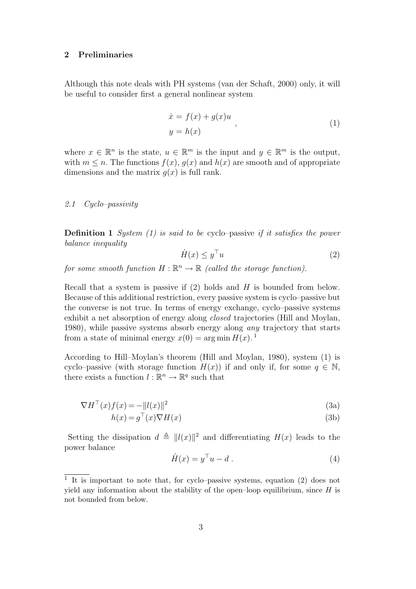#### 2 Preliminaries

Although this note deals with PH systems (van der Schaft, 2000) only, it will be useful to consider first a general nonlinear system

$$
\begin{aligned}\n\dot{x} &= f(x) + g(x)u, \\
y &= h(x)\n\end{aligned}
$$
\n(1)

where  $x \in \mathbb{R}^n$  is the state,  $u \in \mathbb{R}^m$  is the input and  $y \in \mathbb{R}^m$  is the output, with  $m \leq n$ . The functions  $f(x)$ ,  $g(x)$  and  $h(x)$  are smooth and of appropriate dimensions and the matrix  $q(x)$  is full rank.

### 2.1 Cyclo–passivity

**Definition 1** System  $(1)$  is said to be cyclo–passive if it satisfies the power balance inequality

$$
\dot{H}(x) \le y^\top u \tag{2}
$$

for some smooth function  $H : \mathbb{R}^n \to \mathbb{R}$  (called the storage function).

Recall that a system is passive if  $(2)$  holds and H is bounded from below. Because of this additional restriction, every passive system is cyclo–passive but the converse is not true. In terms of energy exchange, cyclo–passive systems exhibit a net absorption of energy along closed trajectories (Hill and Moylan, 1980), while passive systems absorb energy along any trajectory that starts from a state of minimal energy  $x(0) = \arg \min H(x)$ .

According to Hill–Moylan's theorem (Hill and Moylan, 1980), system (1) is cyclo–passive (with storage function  $H(x)$ ) if and only if, for some  $q \in \mathbb{N}$ , there exists a function  $l : \mathbb{R}^n \to \mathbb{R}^q$  such that

$$
\nabla H^{\top}(x)f(x) = -\|l(x)\|^2 \tag{3a}
$$

$$
h(x) = g^{\top}(x)\nabla H(x) \tag{3b}
$$

Setting the dissipation  $d \triangleq ||l(x)||^2$  and differentiating  $H(x)$  leads to the power balance

$$
\dot{H}(x) = y^{\top}u - d. \tag{4}
$$

<sup>&</sup>lt;sup>1</sup> It is important to note that, for cyclo–passive systems, equation (2) does not yield any information about the stability of the open–loop equilibrium, since  $H$  is not bounded from below.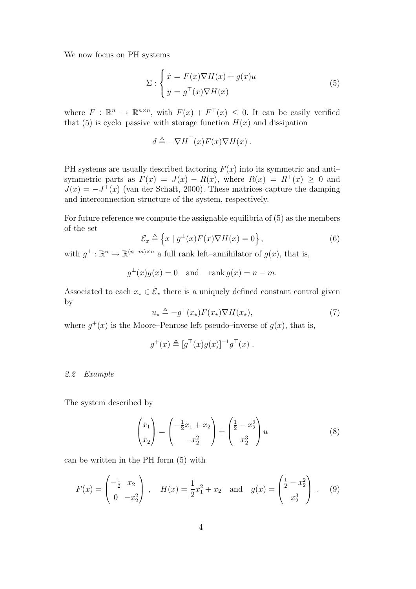We now focus on PH systems

$$
\Sigma: \begin{cases} \dot{x} = F(x)\nabla H(x) + g(x)u \\ y = g^{\top}(x)\nabla H(x) \end{cases}
$$
\n(5)

where  $F: \mathbb{R}^n \to \mathbb{R}^{n \times n}$ , with  $F(x) + F^{\top}(x) \leq 0$ . It can be easily verified that (5) is cyclo–passive with storage function  $H(x)$  and dissipation

$$
d \triangleq -\nabla H^{\top}(x)F(x)\nabla H(x) .
$$

PH systems are usually described factoring  $F(x)$  into its symmetric and antisymmetric parts as  $F(x) = J(x) - R(x)$ , where  $R(x) = R<sup>T</sup>(x) \ge 0$  and  $J(x) = -J^{\top}(x)$  (van der Schaft, 2000). These matrices capture the damping and interconnection structure of the system, respectively.

For future reference we compute the assignable equilibria of (5) as the members of the set

$$
\mathcal{E}_x \triangleq \left\{ x \mid g^\perp(x) F(x) \nabla H(x) = 0 \right\},\tag{6}
$$

with  $g^{\perp} : \mathbb{R}^n \to \mathbb{R}^{(n-m)\times n}$  a full rank left-annihilator of  $g(x)$ , that is,

$$
g^{\perp}(x)g(x) = 0
$$
 and  $\operatorname{rank} g(x) = n - m$ .

Associated to each  $x_{\star} \in \mathcal{E}_x$  there is a uniquely defined constant control given by

$$
u_{\star} \triangleq -g^{+}(x_{\star})F(x_{\star})\nabla H(x_{\star}), \tag{7}
$$

where  $g^+(x)$  is the Moore–Penrose left pseudo–inverse of  $g(x)$ , that is,

$$
g^+(x) \triangleq [g^{\top}(x)g(x)]^{-1}g^{\top}(x) .
$$

#### 2.2 Example

The system described by

$$
\begin{pmatrix} \dot{x}_1 \\ \dot{x}_2 \end{pmatrix} = \begin{pmatrix} -\frac{1}{2}x_1 + x_2 \\ -x_2^2 \end{pmatrix} + \begin{pmatrix} \frac{1}{2} - x_2^2 \\ x_2^3 \end{pmatrix} u \tag{8}
$$

can be written in the PH form (5) with

$$
F(x) = \begin{pmatrix} -\frac{1}{2} & x_2 \\ 0 & -x_2^2 \end{pmatrix}, \quad H(x) = \frac{1}{2}x_1^2 + x_2 \quad \text{and} \quad g(x) = \begin{pmatrix} \frac{1}{2} - x_2^2 \\ x_2^3 \end{pmatrix}.
$$
 (9)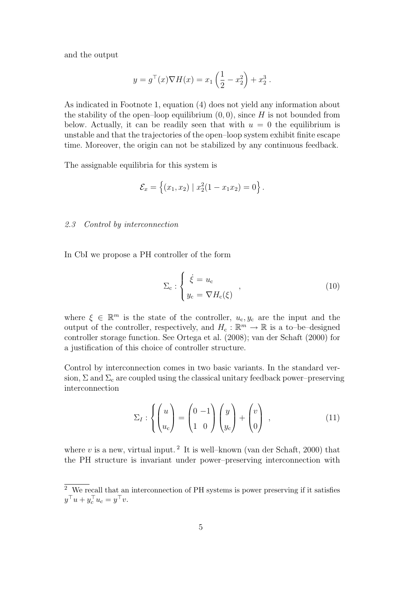and the output

$$
y = g^{\top}(x)\nabla H(x) = x_1\left(\frac{1}{2} - x_2^2\right) + x_2^3.
$$

As indicated in Footnote 1, equation (4) does not yield any information about the stability of the open–loop equilibrium  $(0, 0)$ , since H is not bounded from below. Actually, it can be readily seen that with  $u = 0$  the equilibrium is unstable and that the trajectories of the open–loop system exhibit finite escape time. Moreover, the origin can not be stabilized by any continuous feedback.

The assignable equilibria for this system is

$$
\mathcal{E}_x = \left\{ (x_1, x_2) \mid x_2^2 (1 - x_1 x_2) = 0 \right\}.
$$

#### 2.3 Control by interconnection

In CbI we propose a PH controller of the form

$$
\Sigma_{\rm c} : \begin{cases} \dot{\xi} = u_{\rm c} \\ y_{\rm c} = \nabla H_{\rm c}(\xi) \end{cases} , \tag{10}
$$

where  $\xi \in \mathbb{R}^m$  is the state of the controller,  $u_c, y_c$  are the input and the output of the controller, respectively, and  $H_c: \mathbb{R}^m \to \mathbb{R}$  is a to-be-designed controller storage function. See Ortega et al. (2008); van der Schaft (2000) for a justification of this choice of controller structure.

Control by interconnection comes in two basic variants. In the standard version,  $\Sigma$  and  $\Sigma_c$  are coupled using the classical unitary feedback power–preserving interconnection

$$
\Sigma_I: \left\{ \begin{pmatrix} u \\ u_c \end{pmatrix} = \begin{pmatrix} 0 & -1 \\ 1 & 0 \end{pmatrix} \begin{pmatrix} y \\ y_c \end{pmatrix} + \begin{pmatrix} v \\ 0 \end{pmatrix} , \right. (11)
$$

where  $v$  is a new, virtual input.<sup>2</sup> It is well-known (van der Schaft, 2000) that the PH structure is invariant under power–preserving interconnection with

 $\overline{2}$  We recall that an interconnection of PH systems is power preserving if it satisfies  $y^\top u + y_c^\top u_c = y^\top v.$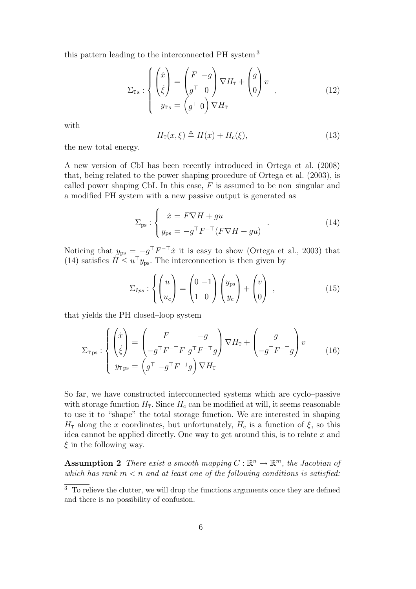this pattern leading to the interconnected PH system <sup>3</sup>

$$
\Sigma_{\text{Ts}} : \begin{cases} \begin{pmatrix} \dot{x} \\ \dot{\xi} \end{pmatrix} = \begin{pmatrix} F & -g \\ g^\top & 0 \end{pmatrix} \nabla H_{\text{T}} + \begin{pmatrix} g \\ 0 \end{pmatrix} v \\ y_{\text{Ts}} = \begin{pmatrix} g^\top & 0 \end{pmatrix} \nabla H_{\text{T}} \end{cases}
$$
 (12)

with

$$
H_{\mathbf{T}}(x,\xi) \triangleq H(x) + H_{\mathbf{c}}(\xi),\tag{13}
$$

the new total energy.

A new version of CbI has been recently introduced in Ortega et al. (2008) that, being related to the power shaping procedure of Ortega et al. (2003), is called power shaping CbI. In this case,  $F$  is assumed to be non-singular and a modified PH system with a new passive output is generated as

$$
\Sigma_{\rm ps}: \begin{cases} \dot{x} = F\nabla H + gu \\ y_{\rm ps} = -g^{\top} F^{-\top} (F\nabla H + gu) \end{cases} . \tag{14}
$$

Noticing that  $y_{\text{ps}} = -g^{\top}F^{-\top}\dot{x}$  it is easy to show (Ortega et al., 2003) that (14) satisfies  $H \leq u^{\top}y_{\text{ps}}$ . The interconnection is then given by

$$
\Sigma_{Ips} : \left\{ \begin{pmatrix} u \\ u_c \end{pmatrix} = \begin{pmatrix} 0 & -1 \\ 1 & 0 \end{pmatrix} \begin{pmatrix} y_{ps} \\ y_c \end{pmatrix} + \begin{pmatrix} v \\ 0 \end{pmatrix} \right\},\tag{15}
$$

that yields the PH closed–loop system

$$
\Sigma_{\text{Tps}} : \begin{cases} \begin{pmatrix} \dot{x} \\ \dot{\xi} \end{pmatrix} = \begin{pmatrix} F & -g \\ -g^\top F^{-\top} F & g^\top F^{-\top} g \end{pmatrix} \nabla H_{\text{T}} + \begin{pmatrix} g \\ -g^\top F^{-\top} g \end{pmatrix} v \\ y_{\text{Tps}} = \begin{pmatrix} g^\top & -g^\top F^{-1} g \end{pmatrix} \nabla H_{\text{T}} \end{cases} \tag{16}
$$

So far, we have constructed interconnected systems which are cyclo–passive with storage function  $H_T$ . Since  $H_c$  can be modified at will, it seems reasonable to use it to "shape" the total storage function. We are interested in shaping  $H<sub>T</sub>$  along the x coordinates, but unfortunately,  $H<sub>c</sub>$  is a function of  $\xi$ , so this idea cannot be applied directly. One way to get around this, is to relate  $x$  and  $\xi$  in the following way.

**Assumption 2** There exist a smooth mapping  $C : \mathbb{R}^n \to \mathbb{R}^m$ , the Jacobian of which has rank  $m < n$  and at least one of the following conditions is satisfied:

 $\overline{3}$  To relieve the clutter, we will drop the functions arguments once they are defined and there is no possibility of confusion.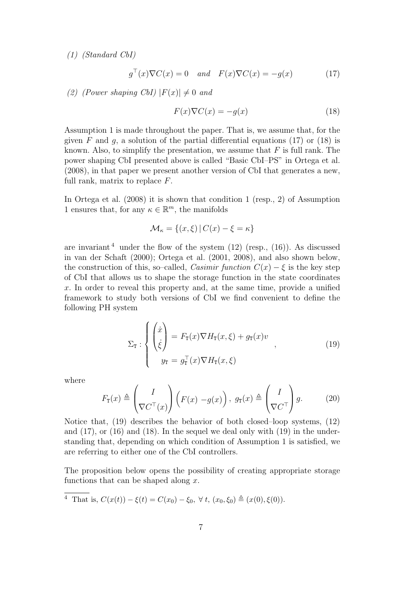(1) (Standard CbI)

$$
g^{\top}(x)\nabla C(x) = 0 \quad and \quad F(x)\nabla C(x) = -g(x) \tag{17}
$$

(2) (Power shaping CbI)  $|F(x)| \neq 0$  and

$$
F(x)\nabla C(x) = -g(x) \tag{18}
$$

Assumption 1 is made throughout the paper. That is, we assume that, for the given F and g, a solution of the partial differential equations (17) or (18) is known. Also, to simplify the presentation, we assume that  $F$  is full rank. The power shaping CbI presented above is called "Basic CbI–PS" in Ortega et al. (2008), in that paper we present another version of CbI that generates a new, full rank, matrix to replace  $F$ .

In Ortega et al. (2008) it is shown that condition 1 (resp., 2) of Assumption 1 ensures that, for any  $\kappa \in \mathbb{R}^m$ , the manifolds

$$
\mathcal{M}_{\kappa} = \{(x,\xi) | C(x) - \xi = \kappa\}
$$

are invariant  $4$  under the flow of the system  $(12)$  (resp.,  $(16)$ ). As discussed in van der Schaft (2000); Ortega et al. (2001, 2008), and also shown below, the construction of this, so–called, Casimir function  $C(x) - \xi$  is the key step of CbI that allows us to shape the storage function in the state coordinates x. In order to reveal this property and, at the same time, provide a unified framework to study both versions of CbI we find convenient to define the following PH system

$$
\Sigma_{\mathbf{T}} : \begin{cases} \begin{pmatrix} \dot{x} \\ \dot{\xi} \end{pmatrix} = F_{\mathbf{T}}(x)\nabla H_{\mathbf{T}}(x,\xi) + g_{\mathbf{T}}(x)v \\ y_{\mathbf{T}} = g_{\mathbf{T}}^{\top}(x)\nabla H_{\mathbf{T}}(x,\xi) \end{cases} \tag{19}
$$

where

$$
F_{\mathsf{T}}(x) \triangleq \begin{pmatrix} I \\ \nabla C^{\top}(x) \end{pmatrix} \left( F(x) - g(x) \right), \ g_{\mathsf{T}}(x) \triangleq \begin{pmatrix} I \\ \nabla C^{\top} \end{pmatrix} g. \tag{20}
$$

Notice that, (19) describes the behavior of both closed–loop systems, (12) and (17), or (16) and (18). In the sequel we deal only with (19) in the understanding that, depending on which condition of Assumption 1 is satisfied, we are referring to either one of the CbI controllers.

The proposition below opens the possibility of creating appropriate storage functions that can be shaped along  $x$ .

<sup>4</sup> That is, 
$$
C(x(t)) - \xi(t) = C(x_0) - \xi_0
$$
,  $\forall$  t,  $(x_0, \xi_0) \triangleq (x(0), \xi(0))$ .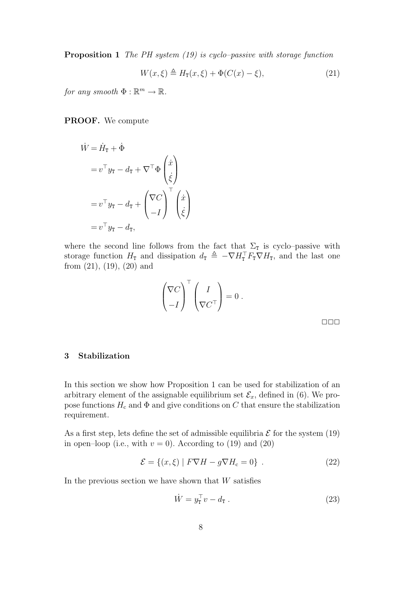**Proposition 1** The PH system  $(19)$  is cyclo–passive with storage function

$$
W(x,\xi) \triangleq H_{\mathbf{T}}(x,\xi) + \Phi(C(x) - \xi),\tag{21}
$$

for any smooth  $\Phi : \mathbb{R}^m \to \mathbb{R}$ .

PROOF. We compute

$$
\dot{W} = \dot{H}_{\text{T}} + \dot{\Phi}
$$
\n
$$
= v^{\top} y_{\text{T}} - d_{\text{T}} + \nabla^{\top} \Phi \begin{pmatrix} \dot{x} \\ \dot{\xi} \end{pmatrix}
$$
\n
$$
= v^{\top} y_{\text{T}} - d_{\text{T}} + \begin{pmatrix} \nabla C \\ -I \end{pmatrix}^{\top} \begin{pmatrix} \dot{x} \\ \dot{\xi} \end{pmatrix}
$$
\n
$$
= v^{\top} y_{\text{T}} - d_{\text{T}},
$$

where the second line follows from the fact that  $\Sigma_{\texttt{T}}$  is cyclo–passive with storage function  $H_T$  and dissipation  $d_T \triangleq -\nabla H_T^\top F_T \nabla H_T$ , and the last one from  $(21)$ ,  $(19)$ ,  $(20)$  and

$$
\begin{pmatrix} \nabla C \\ -I \end{pmatrix}^\top \begin{pmatrix} I \\ \nabla C^\top \end{pmatrix} = 0.
$$

 $\Box \Box \Box$ 

# 3 Stabilization

In this section we show how Proposition 1 can be used for stabilization of an arbitrary element of the assignable equilibrium set  $\mathcal{E}_x$ , defined in (6). We propose functions  $H_c$  and  $\Phi$  and give conditions on C that ensure the stabilization requirement.

As a first step, lets define the set of admissible equilibria  $\mathcal E$  for the system (19) in open–loop (i.e., with  $v = 0$ ). According to (19) and (20)

$$
\mathcal{E} = \{(x, \xi) | F\nabla H - g\nabla H_c = 0\} . \tag{22}
$$

In the previous section we have shown that  $W$  satisfies

$$
\dot{W} = y_{\mathbf{r}}^{\top} v - d_{\mathbf{r}} . \tag{23}
$$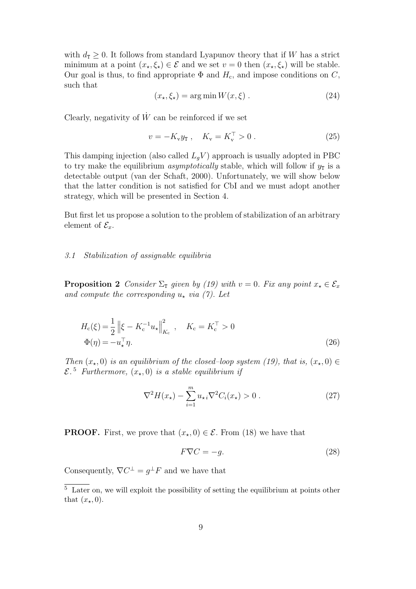with  $d_{\text{T}} \geq 0$ . It follows from standard Lyapunov theory that if W has a strict minimum at a point  $(x_\star,\xi_\star) \in \mathcal{E}$  and we set  $v = 0$  then  $(x_\star,\xi_\star)$  will be stable. Our goal is thus, to find appropriate  $\Phi$  and  $H_c$ , and impose conditions on C, such that

$$
(x_{\star}, \xi_{\star}) = \arg\min W(x, \xi) . \tag{24}
$$

Clearly, negativity of  $\dot{W}$  can be reinforced if we set

$$
v = -K_{v}y_{T}, \quad K_{v} = K_{v}^{T} > 0.
$$
 (25)

This damping injection (also called  $L_qV$ ) approach is usually adopted in PBC to try make the equilibrium *asymptotically* stable, which will follow if  $y<sub>T</sub>$  is a detectable output (van der Schaft, 2000). Unfortunately, we will show below that the latter condition is not satisfied for CbI and we must adopt another strategy, which will be presented in Section 4.

But first let us propose a solution to the problem of stabilization of an arbitrary element of  $\mathcal{E}_x$ .

#### 3.1 Stabilization of assignable equilibria

**Proposition 2** Consider  $\Sigma_{\text{I}}$  given by (19) with  $v = 0$ . Fix any point  $x_{\star} \in \mathcal{E}_x$ and compute the corresponding  $u<sub>z</sub>$  via (7). Let

$$
H_{\rm c}(\xi) = \frac{1}{2} \left\| \xi - K_{\rm c}^{-1} u_{\star} \right\|_{K_{\rm c}}^2, \quad K_{\rm c} = K_{\rm c}^{\top} > 0
$$
  

$$
\Phi(\eta) = -u_{\star}^{\top} \eta.
$$
 (26)

Then  $(x_*,0)$  is an equilibrium of the closed–loop system (19), that is,  $(x_*,0) \in$  $\mathcal{E}$ .<sup>5</sup> Furthermore,  $(x_{\star},0)$  is a stable equilibrium if

$$
\nabla^2 H(x_\star) - \sum_{i=1}^m u_{\star i} \nabla^2 C_i(x_\star) > 0 \,. \tag{27}
$$

**PROOF.** First, we prove that  $(x_*,0) \in \mathcal{E}$ . From (18) we have that

$$
F\nabla C = -g.\tag{28}
$$

Consequently,  $\nabla C^{\perp} = g^{\perp} F$  and we have that

<sup>&</sup>lt;sup>5</sup> Later on, we will exploit the possibility of setting the equilibrium at points other that  $(x_\star, 0)$ .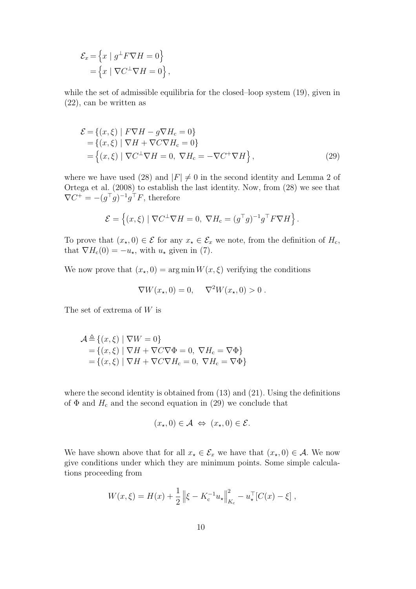$$
\mathcal{E}_x = \left\{ x \mid g^\perp F \nabla H = 0 \right\}
$$

$$
= \left\{ x \mid \nabla C^\perp \nabla H = 0 \right\},\
$$

while the set of admissible equilibria for the closed–loop system (19), given in (22), can be written as

$$
\mathcal{E} = \{(x,\xi) \mid F\nabla H - g\nabla H_c = 0\}
$$
  
=  $\{(x,\xi) \mid \nabla H + \nabla C\nabla H_c = 0\}$   
=  $\{(x,\xi) \mid \nabla C^{\perp} \nabla H = 0, \nabla H_c = -\nabla C^{\dagger} \nabla H\}$ , (29)

where we have used (28) and  $|F| \neq 0$  in the second identity and Lemma 2 of Ortega et al. (2008) to establish the last identity. Now, from (28) we see that  $\nabla C^+ = -(g^{\top}g)^{-1}g^{\top}F$ , therefore

$$
\mathcal{E} = \left\{ (x,\xi) \mid \nabla C^{\perp} \nabla H = 0, \ \nabla H_{\rm c} = (g^{\top} g)^{-1} g^{\top} F \nabla H \right\}.
$$

To prove that  $(x_*,0) \in \mathcal{E}$  for any  $x_* \in \mathcal{E}_x$  we note, from the definition of  $H_c$ , that  $\nabla H_c(0) = -u_\star$ , with  $u_\star$  given in (7).

We now prove that  $(x_*,0) = \arg \min W(x,\xi)$  verifying the conditions

$$
\nabla W(x_\star, 0) = 0, \quad \nabla^2 W(x_\star, 0) > 0.
$$

The set of extrema of W is

$$
\mathcal{A} \triangleq \{(x,\xi) \mid \nabla W = 0\}
$$
  
=  $\{(x,\xi) \mid \nabla H + \nabla C \nabla \Phi = 0, \nabla H_c = \nabla \Phi\}$   
=  $\{(x,\xi) \mid \nabla H + \nabla C \nabla H_c = 0, \nabla H_c = \nabla \Phi\}$ 

where the second identity is obtained from  $(13)$  and  $(21)$ . Using the definitions of  $\Phi$  and  $H_c$  and the second equation in (29) we conclude that

$$
(x_{\star},0) \in \mathcal{A} \iff (x_{\star},0) \in \mathcal{E}.
$$

We have shown above that for all  $x_{\star} \in \mathcal{E}_x$  we have that  $(x_{\star}, 0) \in \mathcal{A}$ . We now give conditions under which they are minimum points. Some simple calculations proceeding from

$$
W(x,\xi) = H(x) + \frac{1}{2} \left\| \xi - K_c^{-1} u_{\star} \right\|_{K_c}^2 - u_{\star}^{\top} [C(x) - \xi],
$$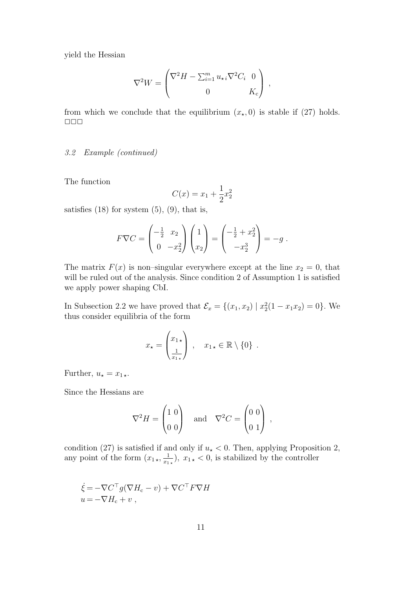yield the Hessian

$$
\nabla^2 W = \begin{pmatrix} \nabla^2 H - \sum_{i=1}^m u_{\star i} \nabla^2 C_i & 0 \\ 0 & K_c \end{pmatrix} ,
$$

from which we conclude that the equilibrium  $(x_{\star}, 0)$  is stable if (27) holds.  $\Box$   $\Box$   $\Box$ 

### 3.2 Example (continued)

The function

$$
C(x) = x_1 + \frac{1}{2}x_2^2
$$

satisfies  $(18)$  for system  $(5)$ ,  $(9)$ , that is,

$$
F\nabla C = \begin{pmatrix} -\frac{1}{2} & x_2 \\ 0 & -x_2^2 \end{pmatrix} \begin{pmatrix} 1 \\ x_2 \end{pmatrix} = \begin{pmatrix} -\frac{1}{2} + x_2^2 \\ -x_2^3 \end{pmatrix} = -g.
$$

The matrix  $F(x)$  is non-singular everywhere except at the line  $x_2 = 0$ , that will be ruled out of the analysis. Since condition 2 of Assumption 1 is satisfied we apply power shaping CbI.

In Subsection 2.2 we have proved that  $\mathcal{E}_x = \{(x_1, x_2) | x_2^2(1 - x_1x_2) = 0\}$ . We thus consider equilibria of the form

$$
x_{\star} = \begin{pmatrix} x_{1\,\star} \\ \frac{1}{x_{1\,\star}} \end{pmatrix} , \quad x_{1\,\star} \in \mathbb{R} \setminus \{0\} .
$$

Further,  $u_\star = x_{1\,\star}$ .

Since the Hessians are

$$
\nabla^2 H = \begin{pmatrix} 1 & 0 \\ 0 & 0 \end{pmatrix} \quad \text{and} \quad \nabla^2 C = \begin{pmatrix} 0 & 0 \\ 0 & 1 \end{pmatrix} \,,
$$

condition (27) is satisfied if and only if  $u_{\star} < 0$ . Then, applying Proposition 2, any point of the form  $(x_{1\star}, \frac{1}{x_1})$  $(\frac{1}{x_{1\star}}), x_{1\star} < 0$ , is stabilized by the controller

$$
\dot{\xi} = -\nabla C^{\top} g (\nabla H_c - v) + \nabla C^{\top} F \nabla H \n u = -\nabla H_c + v ,
$$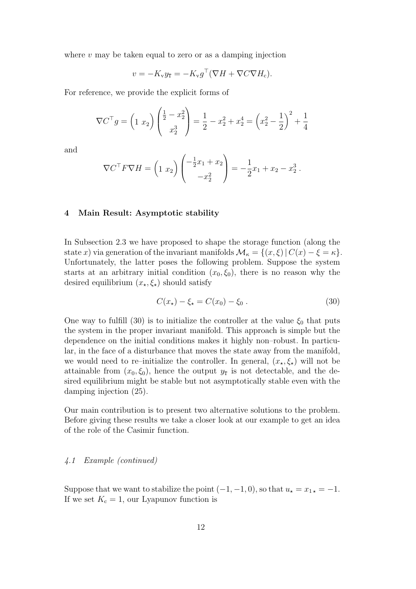where  $v$  may be taken equal to zero or as a damping injection

$$
v = -K_{\rm v}y_{\rm T} = -K_{\rm v}g^{\rm T}(\nabla H + \nabla C\nabla H_{\rm c}).
$$

For reference, we provide the explicit forms of

$$
\nabla C^{\top} g = \left(1 \ x_2\right) \begin{pmatrix} \frac{1}{2} - x_2^2 \\ x_2^3 \end{pmatrix} = \frac{1}{2} - x_2^2 + x_2^4 = \left(x_2^2 - \frac{1}{2}\right)^2 + \frac{1}{4}
$$

and

$$
\nabla C^{\top} F \nabla H = \left(1 \ x_2\right) \begin{pmatrix} -\frac{1}{2}x_1 + x_2 \\ -x_2^2 \end{pmatrix} = -\frac{1}{2}x_1 + x_2 - x_2^3.
$$

#### 4 Main Result: Asymptotic stability

In Subsection 2.3 we have proposed to shape the storage function (along the state x) via generation of the invariant manifolds  $\mathcal{M}_{\kappa} = \{(x,\xi) | C(x) - \xi = \kappa\}.$ Unfortunately, the latter poses the following problem. Suppose the system starts at an arbitrary initial condition  $(x_0, \xi_0)$ , there is no reason why the desired equilibrium  $(x_{\star}, \xi_{\star})$  should satisfy

$$
C(x_{\star}) - \xi_{\star} = C(x_0) - \xi_0 \,. \tag{30}
$$

One way to fulfill (30) is to initialize the controller at the value  $\xi_0$  that puts the system in the proper invariant manifold. This approach is simple but the dependence on the initial conditions makes it highly non–robust. In particular, in the face of a disturbance that moves the state away from the manifold, we would need to re–initialize the controller. In general,  $(x_{\star}, \xi_{\star})$  will not be attainable from  $(x_0, \xi_0)$ , hence the output  $y_T$  is not detectable, and the desired equilibrium might be stable but not asymptotically stable even with the damping injection (25).

Our main contribution is to present two alternative solutions to the problem. Before giving these results we take a closer look at our example to get an idea of the role of the Casimir function.

#### 4.1 Example (continued)

Suppose that we want to stabilize the point  $(-1, -1, 0)$ , so that  $u_\star = x_{1\star} = -1$ . If we set  $K_c = 1$ , our Lyapunov function is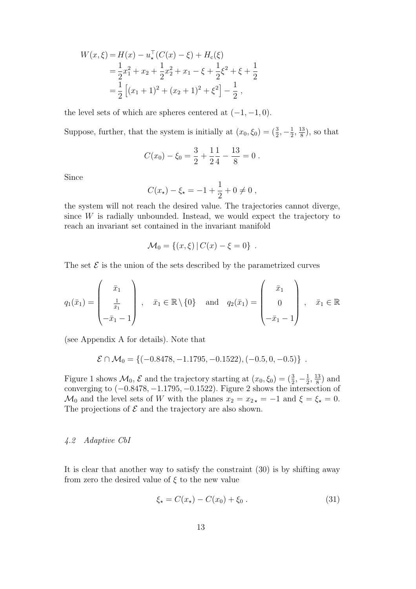$$
W(x,\xi) = H(x) - u_{\star}^{\top}(C(x) - \xi) + H_c(\xi)
$$
  
=  $\frac{1}{2}x_1^2 + x_2 + \frac{1}{2}x_2^2 + x_1 - \xi + \frac{1}{2}\xi^2 + \xi + \frac{1}{2}$   
=  $\frac{1}{2} [(x_1 + 1)^2 + (x_2 + 1)^2 + \xi^2] - \frac{1}{2}$ ,

the level sets of which are spheres centered at  $(-1, -1, 0)$ .

Suppose, further, that the system is initially at  $(x_0, \xi_0) = (\frac{3}{2}, -\frac{1}{2})$  $\frac{1}{2}, \frac{13}{8}$  $\frac{13}{8}$ , so that

$$
C(x_0) - \xi_0 = \frac{3}{2} + \frac{1}{2} \frac{1}{4} - \frac{13}{8} = 0.
$$

Since

$$
C(x_{\star}) - \xi_{\star} = -1 + \frac{1}{2} + 0 \neq 0 ,
$$

the system will not reach the desired value. The trajectories cannot diverge, since W is radially unbounded. Instead, we would expect the trajectory to reach an invariant set contained in the invariant manifold

$$
\mathcal{M}_0 = \{(x,\xi) | C(x) - \xi = 0\} .
$$

The set  $\mathcal E$  is the union of the sets described by the parametrized curves

$$
q_1(\bar{x}_1) = \begin{pmatrix} \bar{x}_1 \\ \frac{1}{\bar{x}_1} \\ -\bar{x}_1 - 1 \end{pmatrix}, \quad \bar{x}_1 \in \mathbb{R} \setminus \{0\} \quad \text{and} \quad q_2(\bar{x}_1) = \begin{pmatrix} \bar{x}_1 \\ 0 \\ -\bar{x}_1 - 1 \end{pmatrix}, \quad \bar{x}_1 \in \mathbb{R}
$$

(see Appendix A for details). Note that

$$
\mathcal{E} \cap \mathcal{M}_0 = \{(-0.8478, -1.1795, -0.1522), (-0.5, 0, -0.5)\}.
$$

Figure 1 shows  $\mathcal{M}_0$ ,  $\mathcal E$  and the trajectory starting at  $(x_0, \xi_0) = (\frac{3}{2}, -\frac{1}{2})$  $\frac{1}{2}, \frac{13}{8}$  $\frac{13}{8}$ ) and converging to  $(-0.8478, -1.1795, -0.1522)$ . Figure 2 shows the intersection of  $\mathcal{M}_0$  and the level sets of W with the planes  $x_2 = x_{2*} = -1$  and  $\xi = \xi_* = 0$ . The projections of  $\mathcal E$  and the trajectory are also shown.

# 4.2 Adaptive CbI

It is clear that another way to satisfy the constraint (30) is by shifting away from zero the desired value of  $\xi$  to the new value

$$
\xi_{\star} = C(x_{\star}) - C(x_0) + \xi_0 \,. \tag{31}
$$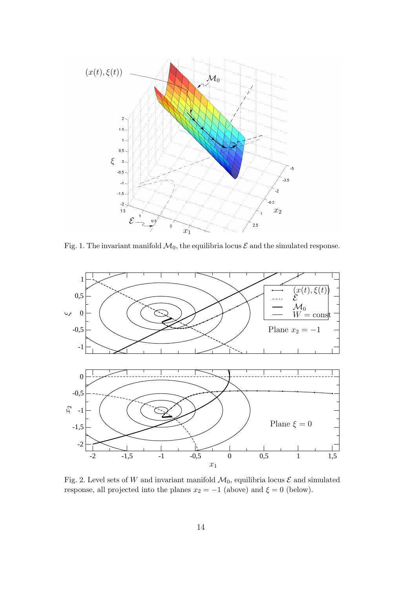

Fig. 1. The invariant manifold  $\mathcal{M}_0$ , the equilibria locus  $\mathcal E$  and the simulated response.



Fig. 2. Level sets of W and invariant manifold  $\mathcal{M}_0$ , equilibria locus  $\mathcal E$  and simulated response, all projected into the planes  $x_2 = -1$  (above) and  $\xi = 0$  (below).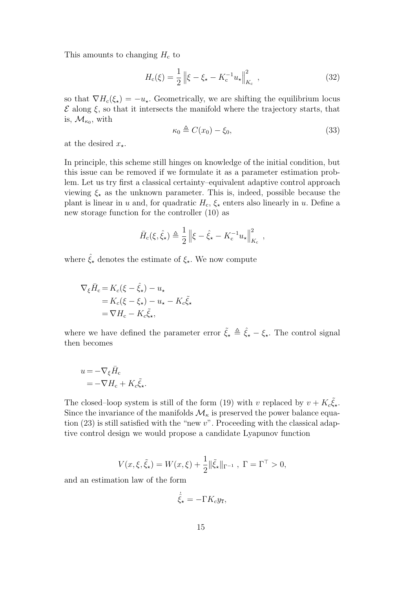This amounts to changing  $H_c$  to

$$
H_{\rm c}(\xi) = \frac{1}{2} \left\| \xi - \xi_{\star} - K_{\rm c}^{-1} u_{\star} \right\|_{K_{\rm c}}^2, \qquad (32)
$$

so that  $\nabla H_c(\xi_\star) = -u_\star$ . Geometrically, we are shifting the equilibrium locus  $\mathcal E$  along  $\xi$ , so that it intersects the manifold where the trajectory starts, that is,  $\mathcal{M}_{\kappa_0}$ , with

$$
\kappa_0 \triangleq C(x_0) - \xi_0,\tag{33}
$$

at the desired  $x_{\star}$ .

In principle, this scheme still hinges on knowledge of the initial condition, but this issue can be removed if we formulate it as a parameter estimation problem. Let us try first a classical certainty–equivalent adaptive control approach viewing  $\xi_{\star}$  as the unknown parameter. This is, indeed, possible because the plant is linear in u and, for quadratic  $H_c$ ,  $\xi_{\star}$  enters also linearly in u. Define a new storage function for the controller (10) as

$$
\bar{H}_{\rm c}(\xi, \hat{\xi}_{\star}) \triangleq \frac{1}{2} \left\| \xi - \hat{\xi}_{\star} - K_{\rm c}^{-1} u_{\star} \right\|_{K_{\rm c}}^2,
$$

where  $\hat{\xi}_{\star}$  denotes the estimate of  $\xi_{\star}$ . We now compute

$$
\nabla_{\xi}\bar{H}_{c} = K_{c}(\xi - \hat{\xi}_{\star}) - u_{\star}
$$
  
=  $K_{c}(\xi - \xi_{\star}) - u_{\star} - K_{c}\tilde{\xi}_{\star}$   
=  $\nabla H_{c} - K_{c}\tilde{\xi}_{\star}$ ,

where we have defined the parameter error  $\tilde{\xi}_* \triangleq \hat{\xi}_* - \xi_*$ . The control signal then becomes

$$
u = -\nabla_{\xi} \bar{H}_{c}
$$
  
= -\nabla H\_{c} + K\_{c} \tilde{\xi}\_{\star}.

The closed–loop system is still of the form (19) with v replaced by  $v + K_c \tilde{\xi}_{\star}$ . Since the invariance of the manifolds  $\mathcal{M}_{\kappa}$  is preserved the power balance equation  $(23)$  is still satisfied with the "new v". Proceeding with the classical adaptive control design we would propose a candidate Lyapunov function

$$
V(x,\xi,\tilde{\xi}_{\star}) = W(x,\xi) + \frac{1}{2} \|\tilde{\xi}_{\star}\|_{\Gamma^{-1}}, \ \Gamma = \Gamma^{\top} > 0,
$$

and an estimation law of the form

$$
\dot{\hat{\xi}}_{\star} = -\Gamma K_c y_{\text{T}},
$$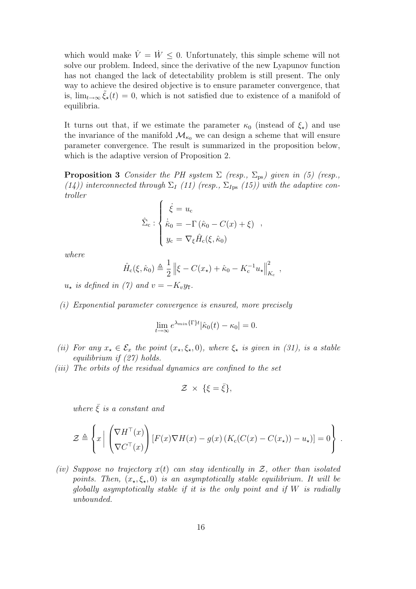which would make  $\dot{V} = \dot{W} \leq 0$ . Unfortunately, this simple scheme will not solve our problem. Indeed, since the derivative of the new Lyapunov function has not changed the lack of detectability problem is still present. The only way to achieve the desired objective is to ensure parameter convergence, that is,  $\lim_{t\to\infty} \tilde{\xi}_\star(t) = 0$ , which is not satisfied due to existence of a manifold of equilibria.

It turns out that, if we estimate the parameter  $\kappa_0$  (instead of  $\xi_{\star}$ ) and use the invariance of the manifold  $\mathcal{M}_{\kappa_0}$  we can design a scheme that will ensure parameter convergence. The result is summarized in the proposition below, which is the adaptive version of Proposition 2.

**Proposition 3** Consider the PH system  $\Sigma$  (resp.,  $\Sigma_{\text{ps}}$ ) given in (5) (resp., (14)) interconnected through  $\Sigma_I$  (11) (resp.,  $\Sigma_{Ips}$  (15)) with the adaptive controller

$$
\hat{\Sigma}_{\rm c} : \begin{cases}\n\dot{\xi} = u_{\rm c} \\
\dot{\hat{\kappa}}_{0} = -\Gamma(\hat{\kappa}_{0} - C(x) + \xi) \\
y_{\rm c} = \nabla_{\xi} \hat{H}_{\rm c}(\xi, \hat{\kappa}_{0})\n\end{cases}
$$

where

$$
\hat{H}_c(\xi, \hat{\kappa}_0) \triangleq \frac{1}{2} \| \xi - C(x_\star) + \hat{\kappa}_0 - K_c^{-1} u_\star \|_{K_c}^2,
$$

 $u_{\star}$  is defined in (7) and  $v = -K_v y_{\text{T}}$ .

(i) Exponential parameter convergence is ensured, more precisely

$$
\lim_{t \to \infty} e^{\lambda_{min}\{\Gamma\}t} |\hat{\kappa}_0(t) - \kappa_0| = 0.
$$

- (ii) For any  $x_{\star} \in \mathcal{E}_x$  the point  $(x_{\star}, \xi_{\star}, 0)$ , where  $\xi_{\star}$  is given in (31), is a stable equilibrium if (27) holds.
- (iii) The orbits of the residual dynamics are confined to the set

$$
\mathcal{Z} \times \{\xi = \bar{\xi}\},\
$$

where  $\bar{\xi}$  is a constant and

$$
\mathcal{Z} \triangleq \left\{ x \left| \left( \begin{matrix} \nabla H^{\top}(x) \\ \nabla C^{\top}(x) \end{matrix} \right) [F(x) \nabla H(x) - g(x) (K_c(C(x) - C(x_{\star})) - u_{\star})] = 0 \right\}.
$$

(iv) Suppose no trajectory  $x(t)$  can stay identically in  $\mathcal{Z}$ , other than isolated points. Then,  $(x_\star,\xi_\star,0)$  is an asymptotically stable equilibrium. It will be globally asymptotically stable if it is the only point and if  $W$  is radially unbounded.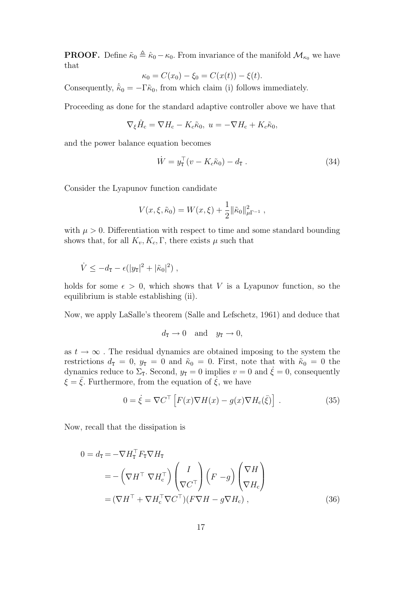**PROOF.** Define  $\tilde{\kappa}_0 \triangleq \hat{\kappa}_0 - \kappa_0$ . From invariance of the manifold  $\mathcal{M}_{\kappa_0}$  we have that

$$
\kappa_0 = C(x_0) - \xi_0 = C(x(t)) - \xi(t).
$$

Consequently,  $\dot{\tilde{\kappa}}_0 = -\Gamma \tilde{\kappa}_0$ , from which claim (i) follows immediately.

Proceeding as done for the standard adaptive controller above we have that

$$
\nabla_{\xi}\hat{H}_{\rm c} = \nabla H_{\rm c} - K_{c}\tilde{\kappa}_{0}, \ u = -\nabla H_{\rm c} + K_{c}\tilde{\kappa}_{0},
$$

and the power balance equation becomes

$$
\dot{W} = y_{\mathbf{T}}^{\top} (v - K_c \tilde{\kappa}_0) - d_{\mathbf{T}} . \tag{34}
$$

Consider the Lyapunov function candidate

$$
V(x,\xi,\tilde{\kappa}_0) = W(x,\xi) + \frac{1}{2} ||\tilde{\kappa}_0||_{\mu\Gamma^{-1}}^2,
$$

with  $\mu > 0$ . Differentiation with respect to time and some standard bounding shows that, for all  $K_v, K_c, \Gamma$ , there exists  $\mu$  such that

$$
\dot{V} \leq -d_{\mathtt{T}} - \epsilon (|y_{\mathtt{T}}|^2 + |\tilde{\kappa}_0|^2) ,
$$

holds for some  $\epsilon > 0$ , which shows that V is a Lyapunov function, so the equilibrium is stable establishing (ii).

Now, we apply LaSalle's theorem (Salle and Lefschetz, 1961) and deduce that

$$
d_{\mathbf{T}} \to 0 \quad \text{and} \quad y_{\mathbf{T}} \to 0,
$$

as  $t \to \infty$ . The residual dynamics are obtained imposing to the system the restrictions  $d_{\text{T}} = 0$ ,  $y_{\text{T}} = 0$  and  $\tilde{\kappa}_0 = 0$ . First, note that with  $\tilde{\kappa}_0 = 0$  the dynamics reduce to  $\Sigma$ <sub>T</sub>. Second,  $y_T = 0$  implies  $v = 0$  and  $\dot{\xi} = 0$ , consequently  $\xi = \overline{\xi}$ . Furthermore, from the equation of  $\xi$ , we have

$$
0 = \dot{\xi} = \nabla C^{\top} \left[ F(x) \nabla H(x) - g(x) \nabla H_c(\bar{\xi}) \right] . \tag{35}
$$

Now, recall that the dissipation is

$$
0 = d_{\mathbf{T}} = -\nabla H_{\mathbf{T}}^{\top} F_{\mathbf{T}} \nabla H_{\mathbf{T}}
$$
  
= -\left(\nabla H^{\top} \nabla H\_{\mathbf{c}}^{\top}\right) \left(\frac{I}{\nabla C^{\top}}\right) \left(F - g\right) \left(\frac{\nabla H}{\nabla H\_{\mathbf{c}}}\right)  
= \left(\nabla H^{\top} + \nabla H\_{\mathbf{c}}^{\top} \nabla C^{\top}\right) \left(F \nabla H - g \nabla H\_{\mathbf{c}}\right), (36)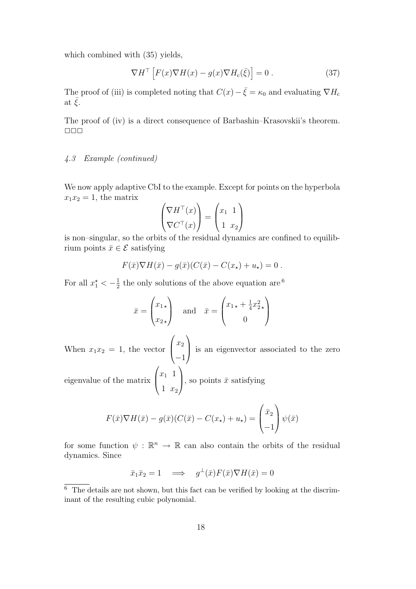which combined with (35) yields,

$$
\nabla H^{\top} \left[ F(x) \nabla H(x) - g(x) \nabla H_{\rm c}(\bar{\xi}) \right] = 0 \tag{37}
$$

The proof of (iii) is completed noting that  $C(x) - \bar{\xi} = \kappa_0$  and evaluating  $\nabla H_c$ at  $\xi$ .

The proof of (iv) is a direct consequence of Barbashin–Krasovskii's theorem.  $\Box$   $\Box$   $\Box$ 

# 4.3 Example (continued)

We now apply adaptive CbI to the example. Except for points on the hyperbola  $x_1x_2 = 1$ , the matrix

$$
\begin{pmatrix} \nabla H^\top(x) \\ \nabla C^\top(x) \end{pmatrix} = \begin{pmatrix} x_1 & 1 \\ 1 & x_2 \end{pmatrix}
$$

is non–singular, so the orbits of the residual dynamics are confined to equilibrium points  $\bar{x} \in \mathcal{E}$  satisfying

$$
F(\bar{x})\nabla H(\bar{x}) - g(\bar{x})(C(\bar{x}) - C(x_{\star}) + u_{\star}) = 0.
$$

For all  $x_1^* < -\frac{1}{2}$  $\frac{1}{2}$  the only solutions of the above equation are <sup>6</sup>

$$
\bar{x} = \begin{pmatrix} x_{1\star} \\ x_{2\star} \end{pmatrix} \quad \text{and} \quad \bar{x} = \begin{pmatrix} x_{1\star} + \frac{1}{4}x_{2\star}^2 \\ 0 \end{pmatrix}
$$

When  $x_1x_2 = 1$ , the vector  $\sqrt{ }$  $\overline{ }$  $\overline{x_2}$ −1  $\setminus$ is an eigenvector associated to the zero

eigenvalue of the matrix  $\sqrt{ }$  $\overline{ }$  $x_1$  1 1  $x_2$  $\setminus$ , so points  $\bar{x}$  satisfying

$$
F(\bar{x})\nabla H(\bar{x}) - g(\bar{x})(C(\bar{x}) - C(x_{\star}) + u_{\star}) = \begin{pmatrix} \bar{x}_2 \\ -1 \end{pmatrix} \psi(\bar{x})
$$

for some function  $\psi : \mathbb{R}^n \to \mathbb{R}$  can also contain the orbits of the residual dynamics. Since

$$
\bar{x}_1 \bar{x}_2 = 1 \quad \Longrightarrow \quad g^\perp(\bar{x}) F(\bar{x}) \nabla H(\bar{x}) = 0
$$

<sup>6</sup> The details are not shown, but this fact can be verified by looking at the discriminant of the resulting cubic polynomial.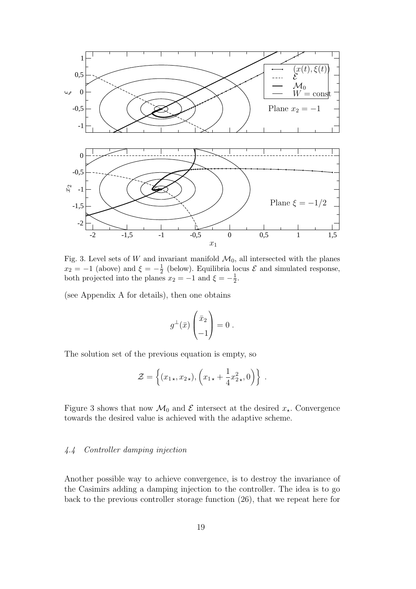

Fig. 3. Level sets of W and invariant manifold  $\mathcal{M}_0$ , all intersected with the planes  $x_2 = -1$  (above) and  $\xi = -\frac{1}{2}$  $\frac{1}{2}$  (below). Equilibria locus  $\mathcal E$  and simulated response, both projected into the planes  $x_2 = -1$  and  $\xi = -\frac{1}{2}$  $rac{1}{2}$ .

(see Appendix A for details), then one obtains

$$
g^{\perp}(\bar{x})\begin{pmatrix} \bar{x}_2\\-1 \end{pmatrix} = 0.
$$

The solution set of the previous equation is empty, so

$$
\mathcal{Z} = \left\{ (x_{1\star}, x_{2\star}), \left( x_{1\star} + \frac{1}{4} x_{2\star}^2, 0 \right) \right\} .
$$

Figure 3 shows that now  $\mathcal{M}_0$  and  $\mathcal E$  intersect at the desired  $x_{\star}$ . Convergence towards the desired value is achieved with the adaptive scheme.

# 4.4 Controller damping injection

Another possible way to achieve convergence, is to destroy the invariance of the Casimirs adding a damping injection to the controller. The idea is to go back to the previous controller storage function (26), that we repeat here for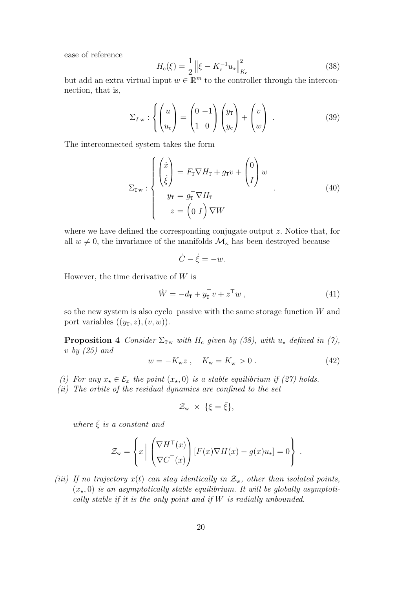ease of reference

$$
H_{\rm c}(\xi) = \frac{1}{2} \left\| \xi - K_{\rm c}^{-1} u_{\star} \right\|_{K_{\rm c}}^2 \tag{38}
$$

but add an extra virtual input  $w \in \mathbb{R}^m$  to the controller through the interconnection, that is,

$$
\Sigma_{I\,\mathbf{w}} : \left\{ \begin{pmatrix} u \\ u_c \end{pmatrix} = \begin{pmatrix} 0 & -1 \\ 1 & 0 \end{pmatrix} \begin{pmatrix} y_{\tt T} \\ y_c \end{pmatrix} + \begin{pmatrix} v \\ w \end{pmatrix} \right. . \tag{39}
$$

The interconnected system takes the form

$$
\Sigma_{\mathbf{T}w} : \begin{cases} \begin{pmatrix} \dot{x} \\ \dot{\xi} \end{pmatrix} = F_{\mathbf{T}} \nabla H_{\mathbf{T}} + g_{\mathbf{T}} v + \begin{pmatrix} 0 \\ I \end{pmatrix} w \\ y_{\mathbf{T}} = g_{\mathbf{T}}^{\top} \nabla H_{\mathbf{T}} \\ z = \begin{pmatrix} 0 & I \end{pmatrix} \nabla W \end{cases}
$$
(40)

where we have defined the corresponding conjugate output z. Notice that, for all  $w \neq 0$ , the invariance of the manifolds  $\mathcal{M}_{\kappa}$  has been destroyed because

$$
\dot{C} - \dot{\xi} = -w.
$$

However, the time derivative of  $W$  is

$$
\dot{W} = -d_{\mathbf{T}} + y_{\mathbf{T}}^{\top} v + z^{\top} w \,, \tag{41}
$$

so the new system is also cyclo–passive with the same storage function  $W$  and port variables  $((y_{\text{T}},z),(v,w))$ .

**Proposition 4** Consider  $\Sigma_{T_w}$  with  $H_c$  given by (38), with  $u_*$  defined in (7), v by  $(25)$  and

$$
w = -K_{w}z \ , \quad K_{w} = K_{w}^{\top} > 0 \ . \tag{42}
$$

- (i) For any  $x_{\star} \in \mathcal{E}_x$  the point  $(x_{\star}, 0)$  is a stable equilibrium if (27) holds.
- (ii) The orbits of the residual dynamics are confined to the set

$$
\mathcal{Z}_{w} \times \{\xi = \bar{\xi}\},\
$$

where  $\bar{\xi}$  is a constant and

$$
\mathcal{Z}_{\mathbf{w}} = \left\{ x \left| \begin{array}{c} \left( \nabla H^{\top}(x) \right) \left[ F(x) \nabla H(x) - g(x) u_{\star} \right] = 0 \right. \\ \nabla C^{\top}(x) \end{array} \right\}.
$$

(iii) If no trajectory  $x(t)$  can stay identically in  $\mathcal{Z}_{w}$ , other than isolated points,  $(x_{\star}, 0)$  is an asymptotically stable equilibrium. It will be globally asymptotically stable if it is the only point and if  $W$  is radially unbounded.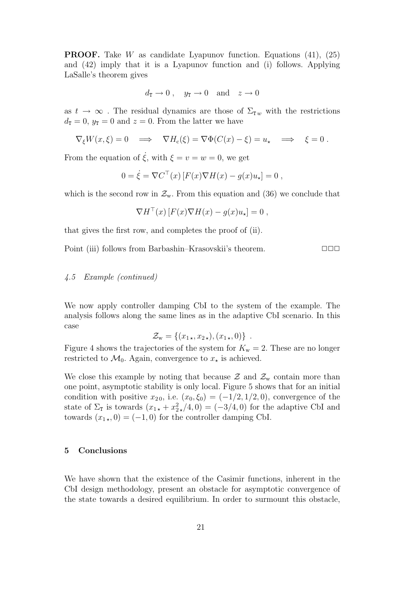**PROOF.** Take W as candidate Lyapunov function. Equations  $(41)$ ,  $(25)$ and (42) imply that it is a Lyapunov function and (i) follows. Applying LaSalle's theorem gives

$$
d_{\mathbf{T}} \to 0
$$
,  $y_{\mathbf{T}} \to 0$  and  $z \to 0$ 

as  $t \to \infty$ . The residual dynamics are those of  $\Sigma_{\tau w}$  with the restrictions  $d_{\text{T}} = 0$ ,  $y_{\text{T}} = 0$  and  $z = 0$ . From the latter we have

$$
\nabla_{\xi} W(x,\xi) = 0 \quad \Longrightarrow \quad \nabla H_{\rm c}(\xi) = \nabla \Phi(C(x) - \xi) = u_{\star} \quad \Longrightarrow \quad \xi = 0 \; .
$$

From the equation of  $\dot{\xi}$ , with  $\xi = v = w = 0$ , we get

$$
0 = \dot{\xi} = \nabla C^{\top}(x) \left[ F(x) \nabla H(x) - g(x) u_{\star} \right] = 0,
$$

which is the second row in  $\mathcal{Z}_{w}$ . From this equation and (36) we conclude that

$$
\nabla H^{\top}(x) \left[ F(x) \nabla H(x) - g(x) u_{\star} \right] = 0 ,
$$

that gives the first row, and completes the proof of (ii).

Point (iii) follows from Barbashin–Krasovskii's theorem. ✷✷✷

#### 4.5 Example (continued)

We now apply controller damping CbI to the system of the example. The analysis follows along the same lines as in the adaptive CbI scenario. In this case

$$
\mathcal{Z}_{\mathbf{w}} = \{ (x_{1\star}, x_{2\star}), (x_{1\star}, 0) \} .
$$

Figure 4 shows the trajectories of the system for  $K_w = 2$ . These are no longer restricted to  $\mathcal{M}_0$ . Again, convergence to  $x_{\star}$  is achieved.

We close this example by noting that because  $\mathcal{Z}$  and  $\mathcal{Z}_{w}$  contain more than one point, asymptotic stability is only local. Figure 5 shows that for an initial condition with positive  $x_{20}$ , i.e.  $(x_0,\xi_0) = (-1/2,1/2,0)$ , convergence of the state of  $\Sigma_{\text{I}}$  is towards  $(x_{1\star} + x_{2\star}^2/4, 0) = (-3/4, 0)$  for the adaptive CbI and towards  $(x_{1\star}, 0) = (-1, 0)$  for the controller damping CbI.

## 5 Conclusions

We have shown that the existence of the Casimir functions, inherent in the CbI design methodology, present an obstacle for asymptotic convergence of the state towards a desired equilibrium. In order to surmount this obstacle,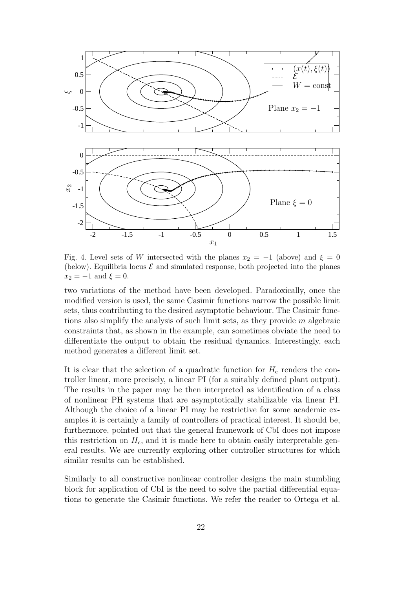

Fig. 4. Level sets of W intersected with the planes  $x_2 = -1$  (above) and  $\xi = 0$ (below). Equilibria locus  $\mathcal E$  and simulated response, both projected into the planes  $x_2 = -1$  and  $\xi = 0$ .

two variations of the method have been developed. Paradoxically, once the modified version is used, the same Casimir functions narrow the possible limit sets, thus contributing to the desired asymptotic behaviour. The Casimir functions also simplify the analysis of such limit sets, as they provide  $m$  algebraic constraints that, as shown in the example, can sometimes obviate the need to differentiate the output to obtain the residual dynamics. Interestingly, each method generates a different limit set.

It is clear that the selection of a quadratic function for  $H_c$  renders the controller linear, more precisely, a linear PI (for a suitably defined plant output). The results in the paper may be then interpreted as identification of a class of nonlinear PH systems that are asymptotically stabilizable via linear PI. Although the choice of a linear PI may be restrictive for some academic examples it is certainly a family of controllers of practical interest. It should be, furthermore, pointed out that the general framework of CbI does not impose this restriction on  $H_c$ , and it is made here to obtain easily interpretable general results. We are currently exploring other controller structures for which similar results can be established.

Similarly to all constructive nonlinear controller designs the main stumbling block for application of CbI is the need to solve the partial differential equations to generate the Casimir functions. We refer the reader to Ortega et al.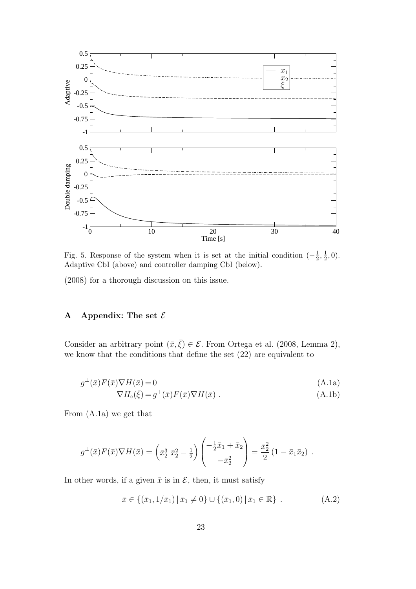

Fig. 5. Response of the system when it is set at the initial condition  $\left(-\frac{1}{2}\right)$  $\frac{1}{2}, \frac{1}{2}$  $(\frac{1}{2}, 0).$ Adaptive CbI (above) and controller damping CbI (below).

(2008) for a thorough discussion on this issue.

## A Appendix: The set  $\mathcal E$

Consider an arbitrary point  $(\bar{x}, \bar{\xi}) \in \mathcal{E}$ . From Ortega et al. (2008, Lemma 2), we know that the conditions that define the set (22) are equivalent to

$$
g^{\perp}(\bar{x})F(\bar{x})\nabla H(\bar{x}) = 0
$$
\n
$$
\nabla H_c(\bar{\xi}) = g^+(\bar{x})F(\bar{x})\nabla H(\bar{x}).
$$
\n(A.1a)\n  
\n(A.1b)

From (A.1a) we get that

$$
g^{\perp}(\bar{x})F(\bar{x})\nabla H(\bar{x}) = \left(\bar{x}_2^3 \ \bar{x}_2^2 - \frac{1}{2}\right)\begin{pmatrix} -\frac{1}{2}\bar{x}_1 + \bar{x}_2\\ -\bar{x}_2^2 \end{pmatrix} = \frac{\bar{x}_2^2}{2}(1 - \bar{x}_1\bar{x}_2).
$$

In other words, if a given  $\bar{x}$  is in  $\mathcal{E}$ , then, it must satisfy

$$
\bar{x} \in \{(\bar{x}_1, 1/\bar{x}_1) \mid \bar{x}_1 \neq 0\} \cup \{(\bar{x}_1, 0) \mid \bar{x}_1 \in \mathbb{R}\} \tag{A.2}
$$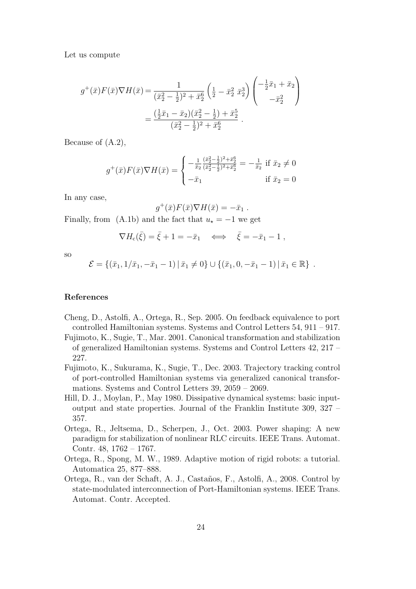Let us compute

$$
g^{+}(\bar{x})F(\bar{x})\nabla H(\bar{x}) = \frac{1}{(\bar{x}_{2}^{2} - \frac{1}{2})^{2} + \bar{x}_{2}^{6}} \left(\frac{1}{2} - \bar{x}_{2}^{2} \bar{x}_{2}^{3}\right) \begin{pmatrix} -\frac{1}{2}\bar{x}_{1} + \bar{x}_{2} \\ -\bar{x}_{2}^{2} \end{pmatrix}
$$

$$
= \frac{(\frac{1}{2}\bar{x}_{1} - \bar{x}_{2})(\bar{x}_{2}^{2} - \frac{1}{2}) + \bar{x}_{2}^{5}}{(\bar{x}_{2}^{2} - \frac{1}{2})^{2} + \bar{x}_{2}^{6}}.
$$

Because of (A.2),

$$
g^{+}(\bar{x})F(\bar{x})\nabla H(\bar{x}) = \begin{cases} -\frac{1}{\bar{x}_2} \frac{(\bar{x}_2^2 - \frac{1}{2})^2 + \bar{x}_2^6}{(\bar{x}_2^2 - \frac{1}{2})^2 + \bar{x}_2^6} = -\frac{1}{\bar{x}_2} \text{ if } \bar{x}_2 \neq 0\\ -\bar{x}_1 \text{ if } \bar{x}_2 = 0 \end{cases}
$$

In any case,

$$
g^+(\bar{x})F(\bar{x})\nabla H(\bar{x})=-\bar{x}_1.
$$

Finally, from (A.1b) and the fact that  $u_\star = -1$  we get

$$
\nabla H_{\rm c}(\bar{\xi}) = \bar{\xi} + 1 = -\bar{x}_1 \quad \Longleftrightarrow \quad \bar{\xi} = -\bar{x}_1 - 1 \ ,
$$

so

$$
\mathcal{E} = \{ (\bar{x}_1, 1/\bar{x}_1, -\bar{x}_1 - 1) | \bar{x}_1 \neq 0 \} \cup \{ (\bar{x}_1, 0, -\bar{x}_1 - 1) | \bar{x}_1 \in \mathbb{R} \} .
$$

#### References

- Cheng, D., Astolfi, A., Ortega, R., Sep. 2005. On feedback equivalence to port controlled Hamiltonian systems. Systems and Control Letters 54, 911 – 917.
- Fujimoto, K., Sugie, T., Mar. 2001. Canonical transformation and stabilization of generalized Hamiltonian systems. Systems and Control Letters 42, 217 – 227.
- Fujimoto, K., Sukurama, K., Sugie, T., Dec. 2003. Trajectory tracking control of port-controlled Hamiltonian systems via generalized canonical transformations. Systems and Control Letters 39, 2059 – 2069.
- Hill, D. J., Moylan, P., May 1980. Dissipative dynamical systems: basic inputoutput and state properties. Journal of the Franklin Institute 309, 327 – 357.
- Ortega, R., Jeltsema, D., Scherpen, J., Oct. 2003. Power shaping: A new paradigm for stabilization of nonlinear RLC circuits. IEEE Trans. Automat. Contr. 48, 1762 – 1767.
- Ortega, R., Spong, M. W., 1989. Adaptive motion of rigid robots: a tutorial. Automatica 25, 877–888.
- Ortega, R., van der Schaft, A. J., Castaños, F., Astolfi, A., 2008. Control by state-modulated interconnection of Port-Hamiltonian systems. IEEE Trans. Automat. Contr. Accepted.